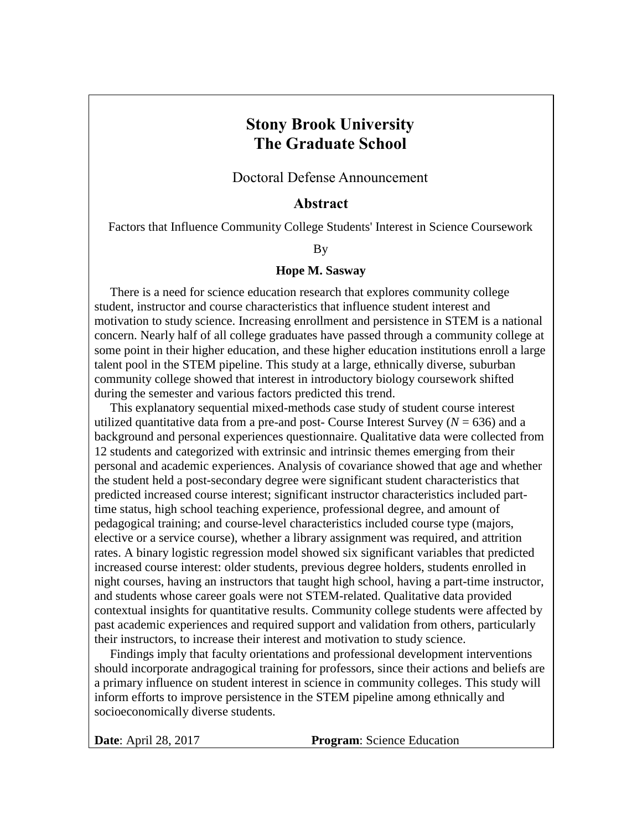## **Stony Brook University The Graduate School**

Doctoral Defense Announcement

## **Abstract**

Factors that Influence Community College Students' Interest in Science Coursework

## By

## **Hope M. Sasway**

 There is a need for science education research that explores community college student, instructor and course characteristics that influence student interest and motivation to study science. Increasing enrollment and persistence in STEM is a national concern. Nearly half of all college graduates have passed through a community college at some point in their higher education, and these higher education institutions enroll a large talent pool in the STEM pipeline. This study at a large, ethnically diverse, suburban community college showed that interest in introductory biology coursework shifted during the semester and various factors predicted this trend.

 This explanatory sequential mixed-methods case study of student course interest utilized quantitative data from a pre-and post- Course Interest Survey  $(N = 636)$  and a background and personal experiences questionnaire. Qualitative data were collected from 12 students and categorized with extrinsic and intrinsic themes emerging from their personal and academic experiences. Analysis of covariance showed that age and whether the student held a post-secondary degree were significant student characteristics that predicted increased course interest; significant instructor characteristics included parttime status, high school teaching experience, professional degree, and amount of pedagogical training; and course-level characteristics included course type (majors, elective or a service course), whether a library assignment was required, and attrition rates. A binary logistic regression model showed six significant variables that predicted increased course interest: older students, previous degree holders, students enrolled in night courses, having an instructors that taught high school, having a part-time instructor, and students whose career goals were not STEM-related. Qualitative data provided contextual insights for quantitative results. Community college students were affected by past academic experiences and required support and validation from others, particularly their instructors, to increase their interest and motivation to study science.

 Findings imply that faculty orientations and professional development interventions should incorporate andragogical training for professors, since their actions and beliefs are a primary influence on student interest in science in community colleges. This study will inform efforts to improve persistence in the STEM pipeline among ethnically and socioeconomically diverse students.

**Date**: April 28, 2017 **Program**: Science Education